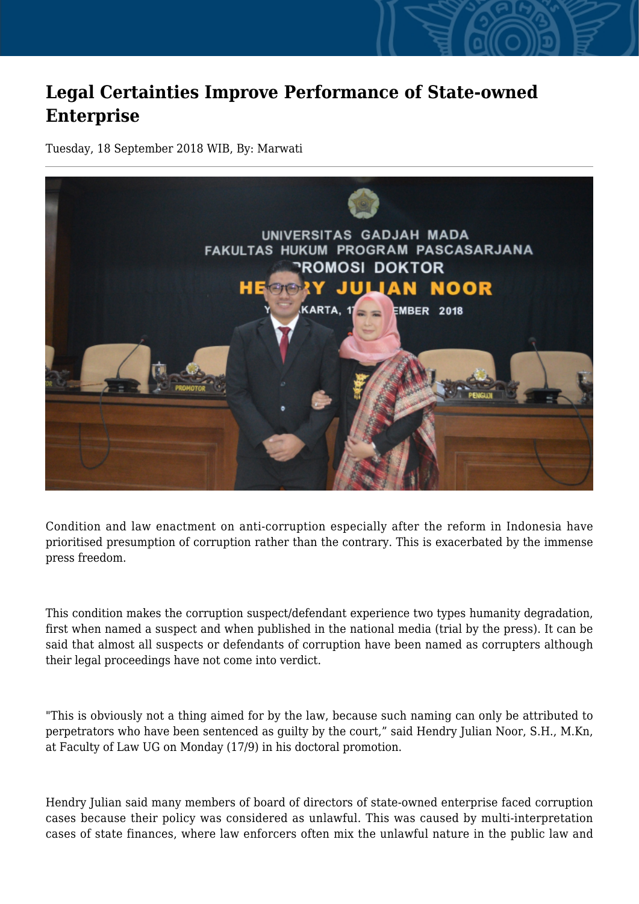## **Legal Certainties Improve Performance of State-owned Enterprise**

Tuesday, 18 September 2018 WIB, By: Marwati



Condition and law enactment on anti-corruption especially after the reform in Indonesia have prioritised presumption of corruption rather than the contrary. This is exacerbated by the immense press freedom.

This condition makes the corruption suspect/defendant experience two types humanity degradation, first when named a suspect and when published in the national media (trial by the press). It can be said that almost all suspects or defendants of corruption have been named as corrupters although their legal proceedings have not come into verdict.

"This is obviously not a thing aimed for by the law, because such naming can only be attributed to perpetrators who have been sentenced as guilty by the court," said Hendry Julian Noor, S.H., M.Kn, at Faculty of Law UG on Monday (17/9) in his doctoral promotion.

Hendry Julian said many members of board of directors of state-owned enterprise faced corruption cases because their policy was considered as unlawful. This was caused by multi-interpretation cases of state finances, where law enforcers often mix the unlawful nature in the public law and